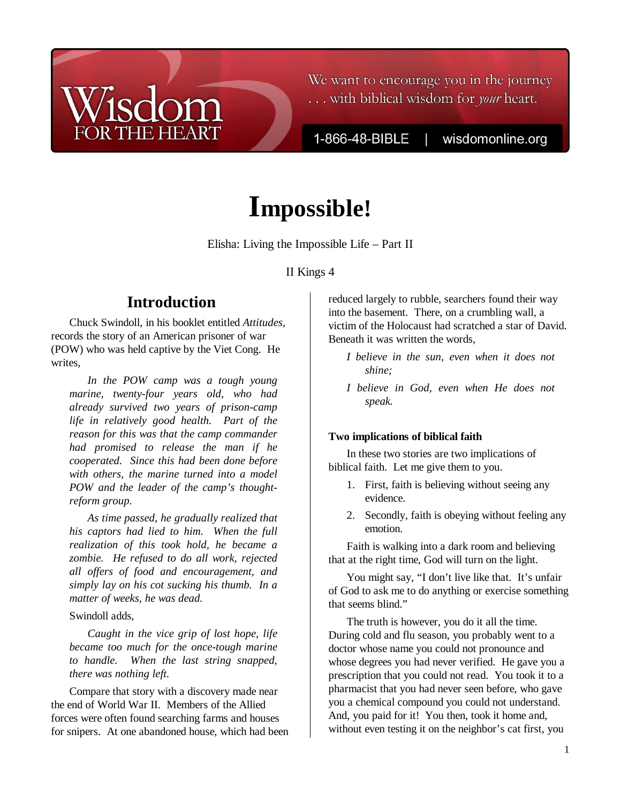# We want to encourage you in the journey ... with biblical wisdom for your heart.

1-866-48-BIBLE |

wisdomonline.org

# **Impossible!**

Elisha: Living the Impossible Life – Part II

#### II Kings 4

# **Introduction**

Chuck Swindoll, in his booklet entitled *Attitudes*, records the story of an American prisoner of war (POW) who was held captive by the Viet Cong. He writes,

*In the POW camp was a tough young marine, twenty-four years old, who had already survived two years of prison-camp life in relatively good health. Part of the reason for this was that the camp commander had promised to release the man if he cooperated. Since this had been done before with others, the marine turned into a model POW and the leader of the camp's thoughtreform group.* 

*As time passed, he gradually realized that his captors had lied to him. When the full realization of this took hold, he became a zombie. He refused to do all work, rejected all offers of food and encouragement, and simply lay on his cot sucking his thumb. In a matter of weeks, he was dead.* 

#### Swindoll adds,

*Caught in the vice grip of lost hope, life became too much for the once-tough marine to handle. When the last string snapped, there was nothing left.* 

Compare that story with a discovery made near the end of World War II. Members of the Allied forces were often found searching farms and houses for snipers. At one abandoned house, which had been reduced largely to rubble, searchers found their way into the basement. There, on a crumbling wall, a victim of the Holocaust had scratched a star of David. Beneath it was written the words,

- *I believe in the sun, even when it does not shine;*
- *I believe in God, even when He does not speak.*

#### **Two implications of biblical faith**

In these two stories are two implications of biblical faith. Let me give them to you.

- 1. First, faith is believing without seeing any evidence.
- 2. Secondly, faith is obeying without feeling any emotion.

Faith is walking into a dark room and believing that at the right time, God will turn on the light.

You might say, "I don't live like that. It's unfair of God to ask me to do anything or exercise something that seems blind."

The truth is however, you do it all the time. During cold and flu season, you probably went to a doctor whose name you could not pronounce and whose degrees you had never verified. He gave you a prescription that you could not read. You took it to a pharmacist that you had never seen before, who gave you a chemical compound you could not understand. And, you paid for it! You then, took it home and, without even testing it on the neighbor's cat first, you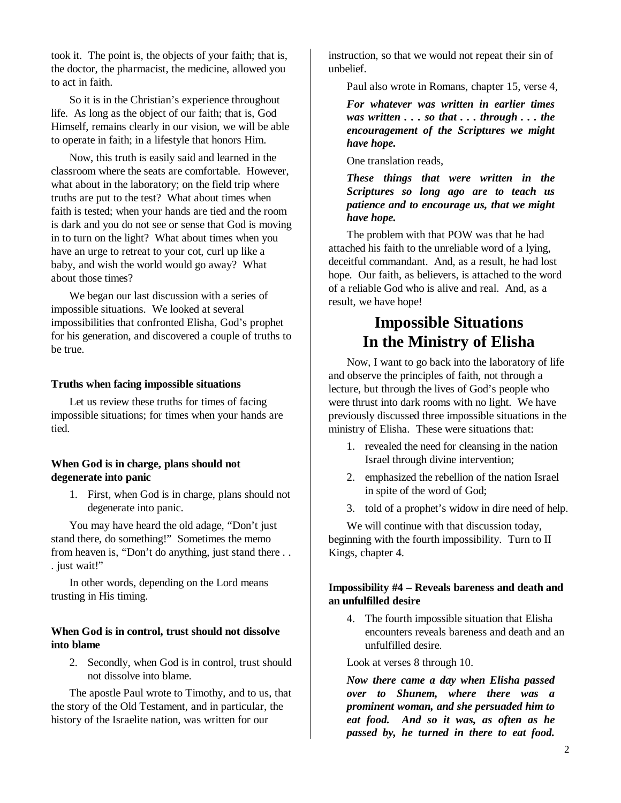took it. The point is, the objects of your faith; that is, the doctor, the pharmacist, the medicine, allowed you to act in faith.

So it is in the Christian's experience throughout life. As long as the object of our faith; that is, God Himself, remains clearly in our vision, we will be able to operate in faith; in a lifestyle that honors Him.

Now, this truth is easily said and learned in the classroom where the seats are comfortable. However, what about in the laboratory; on the field trip where truths are put to the test? What about times when faith is tested; when your hands are tied and the room is dark and you do not see or sense that God is moving in to turn on the light? What about times when you have an urge to retreat to your cot, curl up like a baby, and wish the world would go away? What about those times?

We began our last discussion with a series of impossible situations. We looked at several impossibilities that confronted Elisha, God's prophet for his generation, and discovered a couple of truths to be true.

#### **Truths when facing impossible situations**

Let us review these truths for times of facing impossible situations; for times when your hands are tied.

#### **When God is in charge, plans should not degenerate into panic**

1. First, when God is in charge, plans should not degenerate into panic.

You may have heard the old adage, "Don't just stand there, do something!" Sometimes the memo from heaven is, "Don't do anything, just stand there . . . just wait!"

In other words, depending on the Lord means trusting in His timing.

#### **When God is in control, trust should not dissolve into blame**

2. Secondly, when God is in control, trust should not dissolve into blame.

The apostle Paul wrote to Timothy, and to us, that the story of the Old Testament, and in particular, the history of the Israelite nation, was written for our

instruction, so that we would not repeat their sin of unbelief.

Paul also wrote in Romans, chapter 15, verse 4,

*For whatever was written in earlier times was written . . . so that . . . through . . . the encouragement of the Scriptures we might have hope.* 

One translation reads,

*These things that were written in the Scriptures so long ago are to teach us patience and to encourage us, that we might have hope.* 

The problem with that POW was that he had attached his faith to the unreliable word of a lying, deceitful commandant. And, as a result, he had lost hope. Our faith, as believers, is attached to the word of a reliable God who is alive and real. And, as a result, we have hope!

# **Impossible Situations In the Ministry of Elisha**

Now, I want to go back into the laboratory of life and observe the principles of faith, not through a lecture, but through the lives of God's people who were thrust into dark rooms with no light. We have previously discussed three impossible situations in the ministry of Elisha. These were situations that:

- 1. revealed the need for cleansing in the nation Israel through divine intervention;
- 2. emphasized the rebellion of the nation Israel in spite of the word of God;
- 3. told of a prophet's widow in dire need of help.

We will continue with that discussion today, beginning with the fourth impossibility. Turn to II Kings, chapter 4.

#### **Impossibility #4 – Reveals bareness and death and an unfulfilled desire**

4. The fourth impossible situation that Elisha encounters reveals bareness and death and an unfulfilled desire.

Look at verses 8 through 10.

*Now there came a day when Elisha passed over to Shunem, where there was a prominent woman, and she persuaded him to eat food. And so it was, as often as he passed by, he turned in there to eat food.*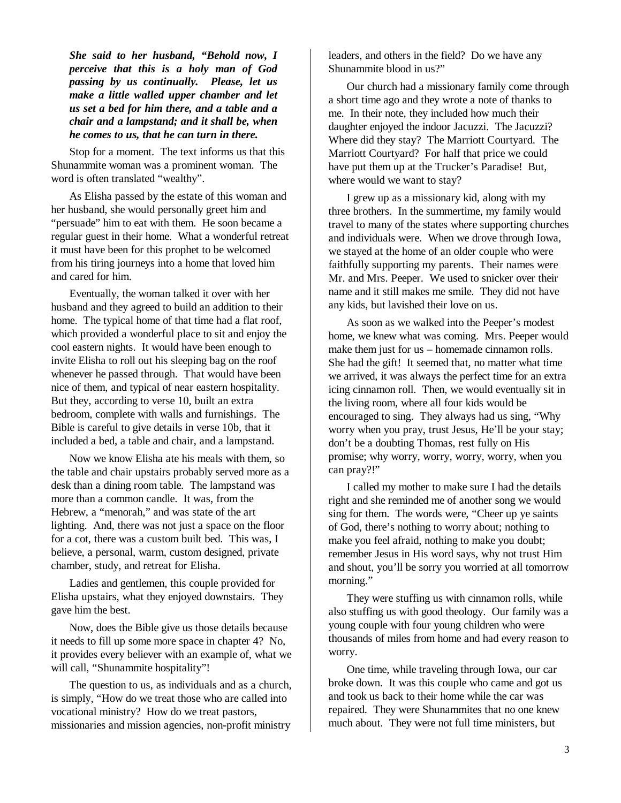*She said to her husband, "Behold now, I perceive that this is a holy man of God passing by us continually. Please, let us make a little walled upper chamber and let us set a bed for him there, and a table and a chair and a lampstand; and it shall be, when he comes to us, that he can turn in there.*

Stop for a moment. The text informs us that this Shunammite woman was a prominent woman. The word is often translated "wealthy".

As Elisha passed by the estate of this woman and her husband, she would personally greet him and "persuade" him to eat with them. He soon became a regular guest in their home. What a wonderful retreat it must have been for this prophet to be welcomed from his tiring journeys into a home that loved him and cared for him.

Eventually, the woman talked it over with her husband and they agreed to build an addition to their home. The typical home of that time had a flat roof, which provided a wonderful place to sit and enjoy the cool eastern nights. It would have been enough to invite Elisha to roll out his sleeping bag on the roof whenever he passed through. That would have been nice of them, and typical of near eastern hospitality. But they, according to verse 10, built an extra bedroom, complete with walls and furnishings. The Bible is careful to give details in verse 10b, that it included a bed, a table and chair, and a lampstand.

Now we know Elisha ate his meals with them, so the table and chair upstairs probably served more as a desk than a dining room table. The lampstand was more than a common candle. It was, from the Hebrew, a "menorah," and was state of the art lighting. And, there was not just a space on the floor for a cot, there was a custom built bed. This was, I believe, a personal, warm, custom designed, private chamber, study, and retreat for Elisha.

Ladies and gentlemen, this couple provided for Elisha upstairs, what they enjoyed downstairs. They gave him the best.

Now, does the Bible give us those details because it needs to fill up some more space in chapter 4? No, it provides every believer with an example of, what we will call, "Shunammite hospitality"!

The question to us, as individuals and as a church, is simply, "How do we treat those who are called into vocational ministry? How do we treat pastors, missionaries and mission agencies, non-profit ministry

leaders, and others in the field? Do we have any Shunammite blood in us?"

Our church had a missionary family come through a short time ago and they wrote a note of thanks to me. In their note, they included how much their daughter enjoyed the indoor Jacuzzi. The Jacuzzi? Where did they stay? The Marriott Courtyard. The Marriott Courtyard? For half that price we could have put them up at the Trucker's Paradise! But, where would we want to stay?

I grew up as a missionary kid, along with my three brothers. In the summertime, my family would travel to many of the states where supporting churches and individuals were. When we drove through Iowa, we stayed at the home of an older couple who were faithfully supporting my parents. Their names were Mr. and Mrs. Peeper. We used to snicker over their name and it still makes me smile. They did not have any kids, but lavished their love on us.

As soon as we walked into the Peeper's modest home, we knew what was coming. Mrs. Peeper would make them just for us – homemade cinnamon rolls. She had the gift! It seemed that, no matter what time we arrived, it was always the perfect time for an extra icing cinnamon roll. Then, we would eventually sit in the living room, where all four kids would be encouraged to sing. They always had us sing, "Why worry when you pray, trust Jesus, He'll be your stay; don't be a doubting Thomas, rest fully on His promise; why worry, worry, worry, worry, when you can pray?!"

I called my mother to make sure I had the details right and she reminded me of another song we would sing for them. The words were, "Cheer up ye saints of God, there's nothing to worry about; nothing to make you feel afraid, nothing to make you doubt; remember Jesus in His word says, why not trust Him and shout, you'll be sorry you worried at all tomorrow morning."

They were stuffing us with cinnamon rolls, while also stuffing us with good theology. Our family was a young couple with four young children who were thousands of miles from home and had every reason to worry.

One time, while traveling through Iowa, our car broke down. It was this couple who came and got us and took us back to their home while the car was repaired. They were Shunammites that no one knew much about. They were not full time ministers, but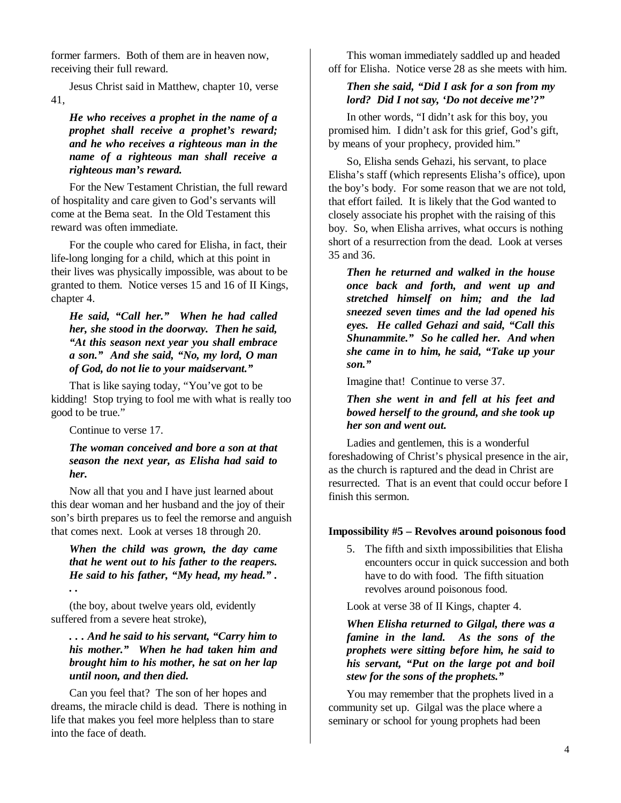former farmers. Both of them are in heaven now, receiving their full reward.

Jesus Christ said in Matthew, chapter 10, verse 41,

*He who receives a prophet in the name of a prophet shall receive a prophet's reward; and he who receives a righteous man in the name of a righteous man shall receive a righteous man's reward.* 

For the New Testament Christian, the full reward of hospitality and care given to God's servants will come at the Bema seat. In the Old Testament this reward was often immediate.

For the couple who cared for Elisha, in fact, their life-long longing for a child, which at this point in their lives was physically impossible, was about to be granted to them. Notice verses 15 and 16 of II Kings, chapter 4.

#### *He said, "Call her." When he had called her, she stood in the doorway. Then he said, "At this season next year you shall embrace a son." And she said, "No, my lord, O man of God, do not lie to your maidservant."*

That is like saying today, "You've got to be kidding! Stop trying to fool me with what is really too good to be true."

Continue to verse 17.

*. .* 

#### *The woman conceived and bore a son at that season the next year, as Elisha had said to her.*

Now all that you and I have just learned about this dear woman and her husband and the joy of their son's birth prepares us to feel the remorse and anguish that comes next. Look at verses 18 through 20.

# *When the child was grown, the day came that he went out to his father to the reapers. He said to his father, "My head, my head." .*

(the boy, about twelve years old, evidently suffered from a severe heat stroke),

## *. . . And he said to his servant, "Carry him to his mother." When he had taken him and brought him to his mother, he sat on her lap until noon, and then died.*

Can you feel that? The son of her hopes and dreams, the miracle child is dead. There is nothing in life that makes you feel more helpless than to stare into the face of death.

This woman immediately saddled up and headed off for Elisha. Notice verse 28 as she meets with him.

## *Then she said, "Did I ask for a son from my lord? Did I not say, 'Do not deceive me'?"*

In other words, "I didn't ask for this boy, you promised him. I didn't ask for this grief, God's gift, by means of your prophecy, provided him."

So, Elisha sends Gehazi, his servant, to place Elisha's staff (which represents Elisha's office), upon the boy's body. For some reason that we are not told, that effort failed. It is likely that the God wanted to closely associate his prophet with the raising of this boy. So, when Elisha arrives, what occurs is nothing short of a resurrection from the dead. Look at verses 35 and 36.

*Then he returned and walked in the house once back and forth, and went up and stretched himself on him; and the lad sneezed seven times and the lad opened his eyes. He called Gehazi and said, "Call this Shunammite." So he called her. And when she came in to him, he said, "Take up your son."* 

Imagine that! Continue to verse 37.

*Then she went in and fell at his feet and bowed herself to the ground, and she took up her son and went out.* 

Ladies and gentlemen, this is a wonderful foreshadowing of Christ's physical presence in the air, as the church is raptured and the dead in Christ are resurrected. That is an event that could occur before I finish this sermon.

## **Impossibility #5 – Revolves around poisonous food**

5. The fifth and sixth impossibilities that Elisha encounters occur in quick succession and both have to do with food. The fifth situation revolves around poisonous food.

Look at verse 38 of II Kings, chapter 4.

*When Elisha returned to Gilgal, there was a famine in the land. As the sons of the prophets were sitting before him, he said to his servant, "Put on the large pot and boil stew for the sons of the prophets."*

You may remember that the prophets lived in a community set up. Gilgal was the place where a seminary or school for young prophets had been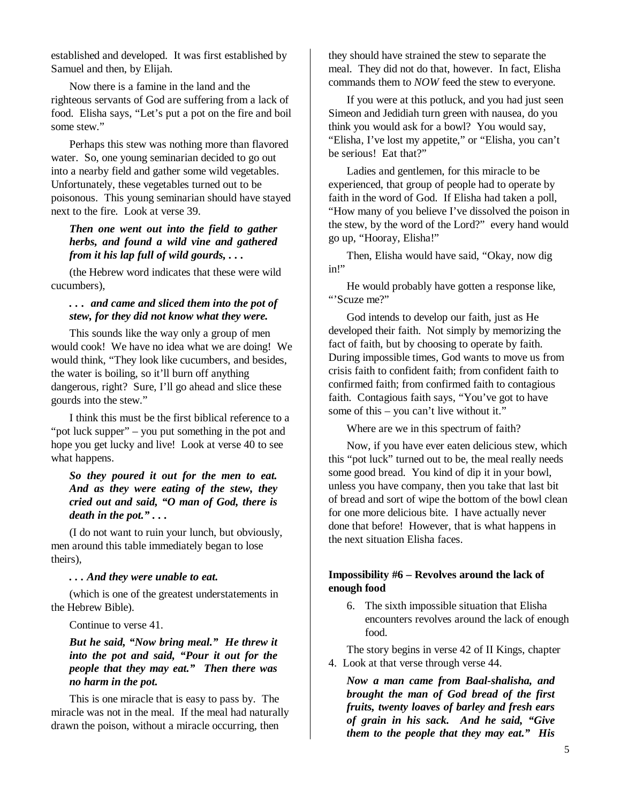established and developed. It was first established by Samuel and then, by Elijah.

Now there is a famine in the land and the righteous servants of God are suffering from a lack of food. Elisha says, "Let's put a pot on the fire and boil some stew."

Perhaps this stew was nothing more than flavored water. So, one young seminarian decided to go out into a nearby field and gather some wild vegetables. Unfortunately, these vegetables turned out to be poisonous. This young seminarian should have stayed next to the fire. Look at verse 39.

*Then one went out into the field to gather herbs, and found a wild vine and gathered from it his lap full of wild gourds, . . .* 

(the Hebrew word indicates that these were wild cucumbers),

#### *. . . and came and sliced them into the pot of stew, for they did not know what they were.*

This sounds like the way only a group of men would cook! We have no idea what we are doing! We would think, "They look like cucumbers, and besides, the water is boiling, so it'll burn off anything dangerous, right? Sure, I'll go ahead and slice these gourds into the stew."

I think this must be the first biblical reference to a "pot luck supper" – you put something in the pot and hope you get lucky and live! Look at verse 40 to see what happens.

#### *So they poured it out for the men to eat. And as they were eating of the stew, they cried out and said, "O man of God, there is death in the pot." . . .*

(I do not want to ruin your lunch, but obviously, men around this table immediately began to lose theirs),

#### *. . . And they were unable to eat.*

(which is one of the greatest understatements in the Hebrew Bible).

Continue to verse 41.

## *But he said, "Now bring meal." He threw it into the pot and said, "Pour it out for the people that they may eat." Then there was no harm in the pot.*

This is one miracle that is easy to pass by. The miracle was not in the meal. If the meal had naturally drawn the poison, without a miracle occurring, then

they should have strained the stew to separate the meal. They did not do that, however. In fact, Elisha commands them to *NOW* feed the stew to everyone.

If you were at this potluck, and you had just seen Simeon and Jedidiah turn green with nausea, do you think you would ask for a bowl? You would say, "Elisha, I've lost my appetite," or "Elisha, you can't be serious! Eat that?"

Ladies and gentlemen, for this miracle to be experienced, that group of people had to operate by faith in the word of God. If Elisha had taken a poll, "How many of you believe I've dissolved the poison in the stew, by the word of the Lord?" every hand would go up, "Hooray, Elisha!"

Then, Elisha would have said, "Okay, now dig in!"

He would probably have gotten a response like, "'Scuze me?"

God intends to develop our faith, just as He developed their faith. Not simply by memorizing the fact of faith, but by choosing to operate by faith. During impossible times, God wants to move us from crisis faith to confident faith; from confident faith to confirmed faith; from confirmed faith to contagious faith. Contagious faith says, "You've got to have some of this – you can't live without it."

Where are we in this spectrum of faith?

Now, if you have ever eaten delicious stew, which this "pot luck" turned out to be, the meal really needs some good bread. You kind of dip it in your bowl, unless you have company, then you take that last bit of bread and sort of wipe the bottom of the bowl clean for one more delicious bite. I have actually never done that before! However, that is what happens in the next situation Elisha faces.

## **Impossibility #6 – Revolves around the lack of enough food**

6. The sixth impossible situation that Elisha encounters revolves around the lack of enough food.

The story begins in verse 42 of II Kings, chapter 4. Look at that verse through verse 44.

*Now a man came from Baal-shalisha, and brought the man of God bread of the first fruits, twenty loaves of barley and fresh ears of grain in his sack. And he said, "Give them to the people that they may eat." His*